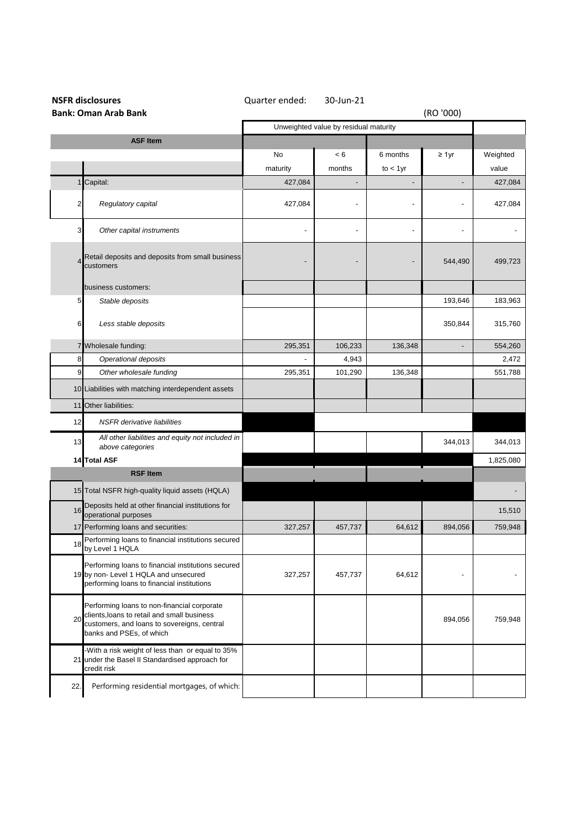| <b>NSFR disclosures</b>     |                                                                                                                                                                       | Quarter ended:                        | 30-Jun-21      |             |             |           |
|-----------------------------|-----------------------------------------------------------------------------------------------------------------------------------------------------------------------|---------------------------------------|----------------|-------------|-------------|-----------|
| <b>Bank: Oman Arab Bank</b> |                                                                                                                                                                       |                                       |                |             | (RO '000)   |           |
|                             |                                                                                                                                                                       | Unweighted value by residual maturity |                |             |             |           |
|                             | <b>ASF Item</b>                                                                                                                                                       |                                       |                |             |             |           |
|                             |                                                                                                                                                                       | No                                    | < 6            | 6 months    | $\geq 1$ yr | Weighted  |
|                             |                                                                                                                                                                       | maturity                              | months         | $to < 1$ yr |             | value     |
|                             | Capital:                                                                                                                                                              | 427,084                               | $\overline{a}$ |             |             | 427,084   |
| 2                           | Regulatory capital                                                                                                                                                    | 427,084                               |                |             |             | 427,084   |
| 3                           | Other capital instruments                                                                                                                                             |                                       | $\overline{a}$ |             |             |           |
|                             | Retail deposits and deposits from small business<br>customers                                                                                                         |                                       |                |             | 544,490     | 499,723   |
|                             | business customers:                                                                                                                                                   |                                       |                |             |             |           |
| 5                           | Stable deposits                                                                                                                                                       |                                       |                |             | 193,646     | 183,963   |
| 6                           | Less stable deposits                                                                                                                                                  |                                       |                |             | 350,844     | 315,760   |
|                             | 7 Wholesale funding:                                                                                                                                                  | 295,351                               | 106,233        | 136,348     |             | 554,260   |
| 8                           | Operational deposits                                                                                                                                                  |                                       | 4,943          |             |             | 2,472     |
| 9                           | Other wholesale funding                                                                                                                                               | 295,351                               | 101,290        | 136,348     |             | 551,788   |
|                             | 10 Liabilities with matching interdependent assets                                                                                                                    |                                       |                |             |             |           |
|                             | 11 Other liabilities:                                                                                                                                                 |                                       |                |             |             |           |
| 12                          | <b>NSFR</b> derivative liabilities                                                                                                                                    |                                       |                |             |             |           |
| 13                          | All other liabilities and equity not included in<br>above categories                                                                                                  |                                       |                |             | 344,013     | 344,013   |
|                             | 14 Total ASF                                                                                                                                                          |                                       |                |             |             | 1,825,080 |
|                             | <b>RSF Item</b>                                                                                                                                                       |                                       |                |             |             |           |
|                             | 15 Total NSFR high-quality liquid assets (HQLA)                                                                                                                       |                                       |                |             |             |           |
| 16                          | Deposits held at other financial institutions for<br>operational purposes                                                                                             |                                       |                |             |             | 15,510    |
|                             | 17 Performing loans and securities:                                                                                                                                   | 327,257                               | 457,737        | 64,612      | 894,056     | 759,948   |
| 18                          | Performing loans to financial institutions secured<br>by Level 1 HQLA                                                                                                 |                                       |                |             |             |           |
|                             | Performing loans to financial institutions secured<br>19 by non- Level 1 HQLA and unsecured<br>performing loans to financial institutions                             | 327,257                               | 457,737        | 64,612      |             |           |
| 20                          | Performing loans to non-financial corporate<br>clients, loans to retail and small business<br>customers, and loans to sovereigns, central<br>banks and PSEs, of which |                                       |                |             | 894,056     | 759,948   |
|                             | -With a risk weight of less than or equal to 35%<br>21 under the Basel II Standardised approach for<br>credit risk                                                    |                                       |                |             |             |           |
| 22.                         | Performing residential mortgages, of which:                                                                                                                           |                                       |                |             |             |           |